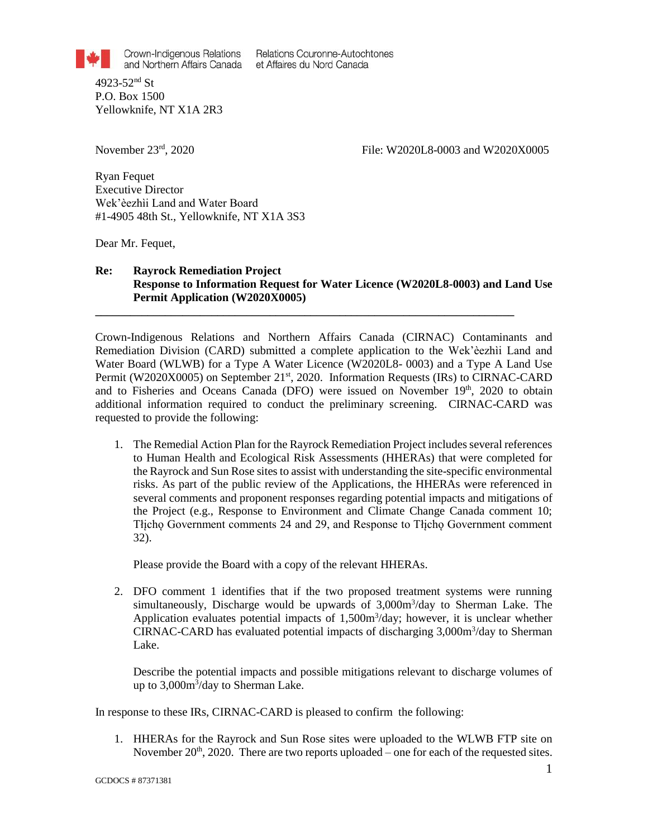Crown-Indigenous Relations and Northern Affairs Canada

Relations Couronne-Autochtones et Affaires du Nord Canada

4923-52nd St P.O. Box 1500 Yellowknife, NT X1A 2R3

November 23<sup>rd</sup>, 2020 File: W2020L8-0003 and W2020X0005

Ryan Fequet Executive Director Wek'èezhìi Land and Water Board #1-4905 48th St., Yellowknife, NT X1A 3S3

Dear Mr. Fequet,

## **Re: Rayrock Remediation Project Response to Information Request for Water Licence (W2020L8-0003) and Land Use Permit Application (W2020X0005)**

**\_\_\_\_\_\_\_\_\_\_\_\_\_\_\_\_\_\_\_\_\_\_\_\_\_\_\_\_\_\_\_\_\_\_\_\_\_\_\_\_\_\_\_\_\_\_\_\_\_\_\_\_\_\_\_\_\_\_\_\_\_\_\_\_\_\_\_\_\_\_\_\_**

Crown-Indigenous Relations and Northern Affairs Canada (CIRNAC) Contaminants and Remediation Division (CARD) submitted a complete application to the Wek'èezhìi Land and Water Board (WLWB) for a Type A Water Licence (W2020L8- 0003) and a Type A Land Use Permit (W2020X0005) on September 21<sup>st</sup>, 2020. Information Requests (IRs) to CIRNAC-CARD and to Fisheries and Oceans Canada (DFO) were issued on November  $19<sup>th</sup>$ , 2020 to obtain additional information required to conduct the preliminary screening. CIRNAC-CARD was requested to provide the following:

1. The Remedial Action Plan for the Rayrock Remediation Project includes several references to Human Health and Ecological Risk Assessments (HHERAs) that were completed for the Rayrock and Sun Rose sites to assist with understanding the site-specific environmental risks. As part of the public review of the Applications, the HHERAs were referenced in several comments and proponent responses regarding potential impacts and mitigations of the Project (e.g., Response to Environment and Climate Change Canada comment 10; Tłicho Government comments 24 and 29, and Response to Tłicho Government comment 32).

Please provide the Board with a copy of the relevant HHERAs.

2. DFO comment 1 identifies that if the two proposed treatment systems were running simultaneously, Discharge would be upwards of 3,000m<sup>3</sup>/day to Sherman Lake. The Application evaluates potential impacts of  $1,500m<sup>3</sup>/day$ ; however, it is unclear whether CIRNAC-CARD has evaluated potential impacts of discharging 3,000m<sup>3</sup>/day to Sherman Lake.

Describe the potential impacts and possible mitigations relevant to discharge volumes of up to 3,000m<sup>3</sup>/day to Sherman Lake.

In response to these IRs, CIRNAC-CARD is pleased to confirm the following:

1. HHERAs for the Rayrock and Sun Rose sites were uploaded to the WLWB FTP site on November  $20<sup>th</sup>$ ,  $2020$ . There are two reports uploaded – one for each of the requested sites.